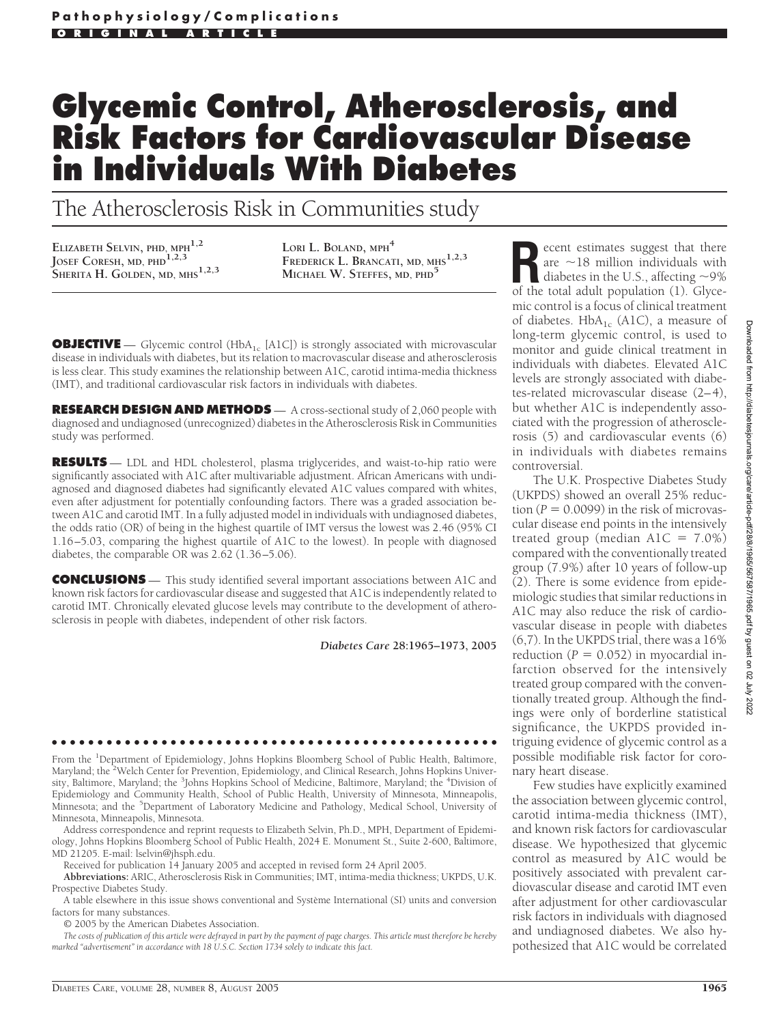# **Glycemic Control, Atherosclerosis, and Risk Factors for Cardiovascular Disease in Individuals With Diabetes**

The Atherosclerosis Risk in Communities study

**ELIZABETH SELVIN, PHD, MPH1,2 JOSEF CORESH, MD, PHD1,2,3 SHERITA H. GOLDEN, MD, MHS1,2,3**

**LORI L. BOLAND, MPH<sup>4</sup> FREDERICK L. BRANCATI, MD, MHS1,2,3 MICHAEL W. STEFFES, MD, PHD5**

**OBJECTIVE** — Glycemic control (HbA<sub>1c</sub> [A1C]) is strongly associated with microvascular disease in individuals with diabetes, but its relation to macrovascular disease and atherosclerosis is less clear. This study examines the relationship between A1C, carotid intima-media thickness (IMT), and traditional cardiovascular risk factors in individuals with diabetes.

**RESEARCH DESIGN AND METHODS** — A cross-sectional study of 2,060 people with diagnosed and undiagnosed (unrecognized) diabetes in the Atherosclerosis Risk in Communities study was performed.

**RESULTS** — LDL and HDL cholesterol, plasma triglycerides, and waist-to-hip ratio were significantly associated with A1C after multivariable adjustment. African Americans with undiagnosed and diagnosed diabetes had significantly elevated A1C values compared with whites, even after adjustment for potentially confounding factors. There was a graded association between A1C and carotid IMT. In a fully adjusted model in individuals with undiagnosed diabetes, the odds ratio (OR) of being in the highest quartile of IMT versus the lowest was 2.46 (95% CI 1.16–5.03, comparing the highest quartile of A1C to the lowest). In people with diagnosed diabetes, the comparable OR was 2.62 (1.36–5.06).

**CONCLUSIONS** — This study identified several important associations between A1C and known risk factors for cardiovascular disease and suggested that A1C is independently related to carotid IMT. Chronically elevated glucose levels may contribute to the development of atherosclerosis in people with diabetes, independent of other risk factors.

*Diabetes Care* **28:1965–1973, 2005**

●●●●●●●●●●●●●●●●●●●●●●●●●●●●●●●●●●●●●●●●●●●●●●●●●

From the <sup>1</sup>Department of Epidemiology, Johns Hopkins Bloomberg School of Public Health, Baltimore, Maryland; the <sup>2</sup>Welch Center for Prevention, Epidemiology, and Clinical Research, Johns Hopkins University, Baltimore, Maryland; the <sup>3</sup>Johns Hopkins School of Medicine, Baltimore, Maryland; the <sup>4</sup>Division of Epidemiology and Community Health, School of Public Health, University of Minnesota, Minneapolis, Minnesota; and the <sup>5</sup>Department of Laboratory Medicine and Pathology, Medical School, University of Minnesota, Minneapolis, Minnesota.

Address correspondence and reprint requests to Elizabeth Selvin, Ph.D., MPH, Department of Epidemiology, Johns Hopkins Bloomberg School of Public Health, 2024 E. Monument St., Suite 2-600, Baltimore, MD 21205. E-mail: lselvin@jhsph.edu.

Received for publication 14 January 2005 and accepted in revised form 24 April 2005.

**Abbreviations:** ARIC, Atherosclerosis Risk in Communities; IMT, intima-media thickness; UKPDS, U.K. Prospective Diabetes Study.

A table elsewhere in this issue shows conventional and Système International (SI) units and conversion factors for many substances.

© 2005 by the American Diabetes Association.

*The costs of publication of this article were defrayed in part by the payment of page charges. This article must therefore be hereby marked "advertisement" in accordance with 18 U.S.C. Section 1734 solely to indicate this fact.*

ecent estimates suggest that there are  $\sim$ 18 million individuals with diabetes in the U.S., affecting  $\sim$ 9% of the total adult population (1). Glycemic control is a focus of clinical treatment of diabetes.  $HbA_{1c}$  (A1C), a measure of long-term glycemic control, is used to monitor and guide clinical treatment in individuals with diabetes. Elevated A1C levels are strongly associated with diabetes-related microvascular disease (2–4), but whether A1C is independently associated with the progression of atherosclerosis (5) and cardiovascular events (6) in individuals with diabetes remains controversial.

The U.K. Prospective Diabetes Study (UKPDS) showed an overall 25% reduc- $\text{tion} \, (P = 0.0099)$  in the risk of microvascular disease end points in the intensively treated group (median  $A1C = 7.0\%)$ compared with the conventionally treated group (7.9%) after 10 years of follow-up (2). There is some evidence from epidemiologic studies that similar reductions in A1C may also reduce the risk of cardiovascular disease in people with diabetes (6,7). In the UKPDS trial, there was a 16% reduction ( $P = 0.052$ ) in myocardial infarction observed for the intensively treated group compared with the conventionally treated group. Although the findings were only of borderline statistical significance, the UKPDS provided intriguing evidence of glycemic control as a possible modifiable risk factor for coronary heart disease.

Few studies have explicitly examined the association between glycemic control, carotid intima-media thickness (IMT), and known risk factors for cardiovascular disease. We hypothesized that glycemic control as measured by A1C would be positively associated with prevalent cardiovascular disease and carotid IMT even after adjustment for other cardiovascular risk factors in individuals with diagnosed and undiagnosed diabetes. We also hypothesized that A1C would be correlated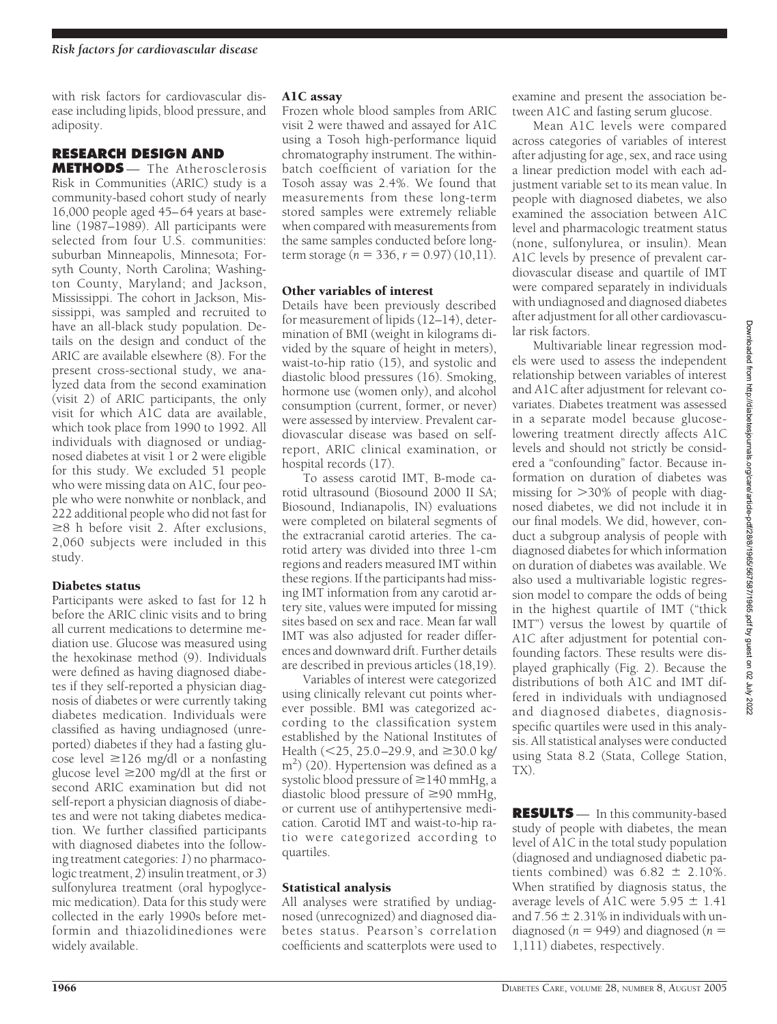with risk factors for cardiovascular disease including lipids, blood pressure, and adiposity.

# **RESEARCH DESIGN AND**

**METHODS** — The Atherosclerosis Risk in Communities (ARIC) study is a community-based cohort study of nearly 16,000 people aged 45–64 years at baseline (1987–1989). All participants were selected from four U.S. communities: suburban Minneapolis, Minnesota; Forsyth County, North Carolina; Washington County, Maryland; and Jackson, Mississippi. The cohort in Jackson, Mississippi, was sampled and recruited to have an all-black study population. Details on the design and conduct of the ARIC are available elsewhere (8). For the present cross-sectional study, we analyzed data from the second examination (visit 2) of ARIC participants, the only visit for which A1C data are available, which took place from 1990 to 1992. All individuals with diagnosed or undiagnosed diabetes at visit 1 or 2 were eligible for this study. We excluded 51 people who were missing data on A1C, four people who were nonwhite or nonblack, and 222 additional people who did not fast for  $\geq$ 8 h before visit 2. After exclusions, 2,060 subjects were included in this study.

# Diabetes status

Participants were asked to fast for 12 h before the ARIC clinic visits and to bring all current medications to determine mediation use. Glucose was measured using the hexokinase method (9). Individuals were defined as having diagnosed diabetes if they self-reported a physician diagnosis of diabetes or were currently taking diabetes medication. Individuals were classified as having undiagnosed (unreported) diabetes if they had a fasting glucose level  $\geq$ 126 mg/dl or a nonfasting glucose level  $\geq$ 200 mg/dl at the first or second ARIC examination but did not self-report a physician diagnosis of diabetes and were not taking diabetes medication. We further classified participants with diagnosed diabetes into the following treatment categories: *1*) no pharmacologic treatment, *2*) insulin treatment, or *3*) sulfonylurea treatment (oral hypoglycemic medication). Data for this study were collected in the early 1990s before metformin and thiazolidinediones were widely available.

#### A1C assay

Frozen whole blood samples from ARIC visit 2 were thawed and assayed for A1C using a Tosoh high-performance liquid chromatography instrument. The withinbatch coefficient of variation for the Tosoh assay was 2.4%. We found that measurements from these long-term stored samples were extremely reliable when compared with measurements from the same samples conducted before longterm storage ( $n = 336$ ,  $r = 0.97$ ) (10,11).

# Other variables of interest

Details have been previously described for measurement of lipids  $(12–14)$ , determination of BMI (weight in kilograms divided by the square of height in meters), waist-to-hip ratio (15), and systolic and diastolic blood pressures (16). Smoking, hormone use (women only), and alcohol consumption (current, former, or never) were assessed by interview. Prevalent cardiovascular disease was based on selfreport, ARIC clinical examination, or hospital records (17).

To assess carotid IMT, B-mode carotid ultrasound (Biosound 2000 II SA; Biosound, Indianapolis, IN) evaluations were completed on bilateral segments of the extracranial carotid arteries. The carotid artery was divided into three 1-cm regions and readers measured IMT within these regions. If the participants had missing IMT information from any carotid artery site, values were imputed for missing sites based on sex and race. Mean far wall IMT was also adjusted for reader differences and downward drift. Further details are described in previous articles (18,19).

Variables of interest were categorized using clinically relevant cut points wherever possible. BMI was categorized according to the classification system established by the National Institutes of Health  $(<$  25, 25.0–29.9, and  $\geq$  30.0 kg/ m<sup>2</sup>) (20). Hypertension was defined as a systolic blood pressure of  $\geq$  140 mmHg, a diastolic blood pressure of  $\geq 90$  mmHg, or current use of antihypertensive medication. Carotid IMT and waist-to-hip ratio were categorized according to quartiles.

# Statistical analysis

All analyses were stratified by undiagnosed (unrecognized) and diagnosed diabetes status. Pearson's correlation coefficients and scatterplots were used to examine and present the association between A1C and fasting serum glucose.

Mean A1C levels were compared across categories of variables of interest after adjusting for age, sex, and race using a linear prediction model with each adjustment variable set to its mean value. In people with diagnosed diabetes, we also examined the association between A1C level and pharmacologic treatment status (none, sulfonylurea, or insulin). Mean A1C levels by presence of prevalent cardiovascular disease and quartile of IMT were compared separately in individuals with undiagnosed and diagnosed diabetes after adjustment for all other cardiovascular risk factors.

Multivariable linear regression models were used to assess the independent relationship between variables of interest and A1C after adjustment for relevant covariates. Diabetes treatment was assessed in a separate model because glucoselowering treatment directly affects A1C levels and should not strictly be considered a "confounding" factor. Because information on duration of diabetes was missing for 30% of people with diagnosed diabetes, we did not include it in our final models. We did, however, conduct a subgroup analysis of people with diagnosed diabetes for which information on duration of diabetes was available. We also used a multivariable logistic regression model to compare the odds of being in the highest quartile of IMT ("thick IMT") versus the lowest by quartile of A1C after adjustment for potential confounding factors. These results were displayed graphically (Fig. 2). Because the distributions of both A1C and IMT differed in individuals with undiagnosed and diagnosed diabetes, diagnosisspecific quartiles were used in this analysis. All statistical analyses were conducted using Stata 8.2 (Stata, College Station, TX).

**RESULTS** — In this community-based study of people with diabetes, the mean level of A1C in the total study population (diagnosed and undiagnosed diabetic patients combined) was  $6.82 \pm 2.10\%$ . When stratified by diagnosis status, the average levels of A1C were  $5.95 \pm 1.41$ and  $7.56 \pm 2.31\%$  in individuals with undiagnosed ( $n = 949$ ) and diagnosed ( $n =$ 1,111) diabetes, respectively.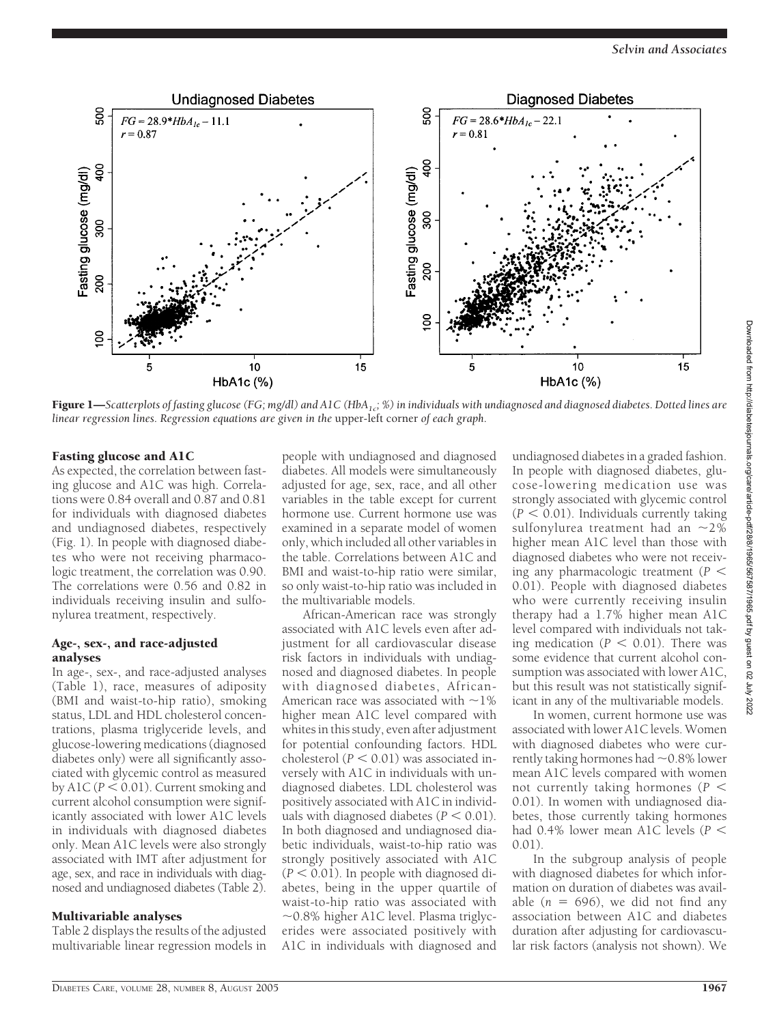

Figure 1—Scatterplots of fasting glucose (FG; mg/dl) and A1C (HbA<sub>1c</sub>; %) in individuals with undiagnosed and diagnosed diabetes. Dotted lines are *linear regression lines. Regression equations are given in the* upper-left corner *of each graph.*

#### Fasting glucose and A1C

As expected, the correlation between fasting glucose and A1C was high. Correlations were 0.84 overall and 0.87 and 0.81 for individuals with diagnosed diabetes and undiagnosed diabetes, respectively (Fig. 1). In people with diagnosed diabetes who were not receiving pharmacologic treatment, the correlation was 0.90. The correlations were 0.56 and 0.82 in individuals receiving insulin and sulfonylurea treatment, respectively.

#### Age-, sex-, and race-adjusted analyses

In age-, sex-, and race-adjusted analyses (Table 1), race, measures of adiposity (BMI and waist-to-hip ratio), smoking status, LDL and HDL cholesterol concentrations, plasma triglyceride levels, and glucose-lowering medications (diagnosed diabetes only) were all significantly associated with glycemic control as measured by  $A1C (P < 0.01)$ . Current smoking and current alcohol consumption were significantly associated with lower A1C levels in individuals with diagnosed diabetes only. Mean A1C levels were also strongly associated with IMT after adjustment for age, sex, and race in individuals with diagnosed and undiagnosed diabetes (Table 2).

#### Multivariable analyses

Table 2 displays the results of the adjusted multivariable linear regression models in

people with undiagnosed and diagnosed diabetes. All models were simultaneously adjusted for age, sex, race, and all other variables in the table except for current hormone use. Current hormone use was examined in a separate model of women only, which included all other variables in the table. Correlations between A1C and BMI and waist-to-hip ratio were similar, so only waist-to-hip ratio was included in the multivariable models.

African-American race was strongly associated with A1C levels even after adjustment for all cardiovascular disease risk factors in individuals with undiagnosed and diagnosed diabetes. In people with diagnosed diabetes, African-American race was associated with  $\sim$ 1% higher mean A1C level compared with whites in this study, even after adjustment for potential confounding factors. HDL cholesterol  $(P < 0.01)$  was associated inversely with A1C in individuals with undiagnosed diabetes. LDL cholesterol was positively associated with A1C in individuals with diagnosed diabetes  $(P < 0.01)$ . In both diagnosed and undiagnosed diabetic individuals, waist-to-hip ratio was strongly positively associated with A1C  $(P < 0.01)$ . In people with diagnosed diabetes, being in the upper quartile of waist-to-hip ratio was associated with  $\sim$ 0.8% higher A1C level. Plasma triglycerides were associated positively with A1C in individuals with diagnosed and

undiagnosed diabetes in a graded fashion. In people with diagnosed diabetes, glucose-lowering medication use was strongly associated with glycemic control  $(P < 0.01)$ . Individuals currently taking sulfonylurea treatment had an  $\sim$ 2% higher mean A1C level than those with diagnosed diabetes who were not receiving any pharmacologic treatment (*P* 0.01). People with diagnosed diabetes who were currently receiving insulin therapy had a 1.7% higher mean A1C level compared with individuals not taking medication ( $P < 0.01$ ). There was some evidence that current alcohol consumption was associated with lower A1C, but this result was not statistically significant in any of the multivariable models.

In women, current hormone use was associated with lower A1C levels. Women with diagnosed diabetes who were currently taking hormones had  $\sim$  0.8% lower mean A1C levels compared with women not currently taking hormones (*P* 0.01). In women with undiagnosed diabetes, those currently taking hormones had 0.4% lower mean A1C levels (*P*  $(0.01)$ 

In the subgroup analysis of people with diagnosed diabetes for which information on duration of diabetes was available  $(n = 696)$ , we did not find any association between A1C and diabetes duration after adjusting for cardiovascular risk factors (analysis not shown). We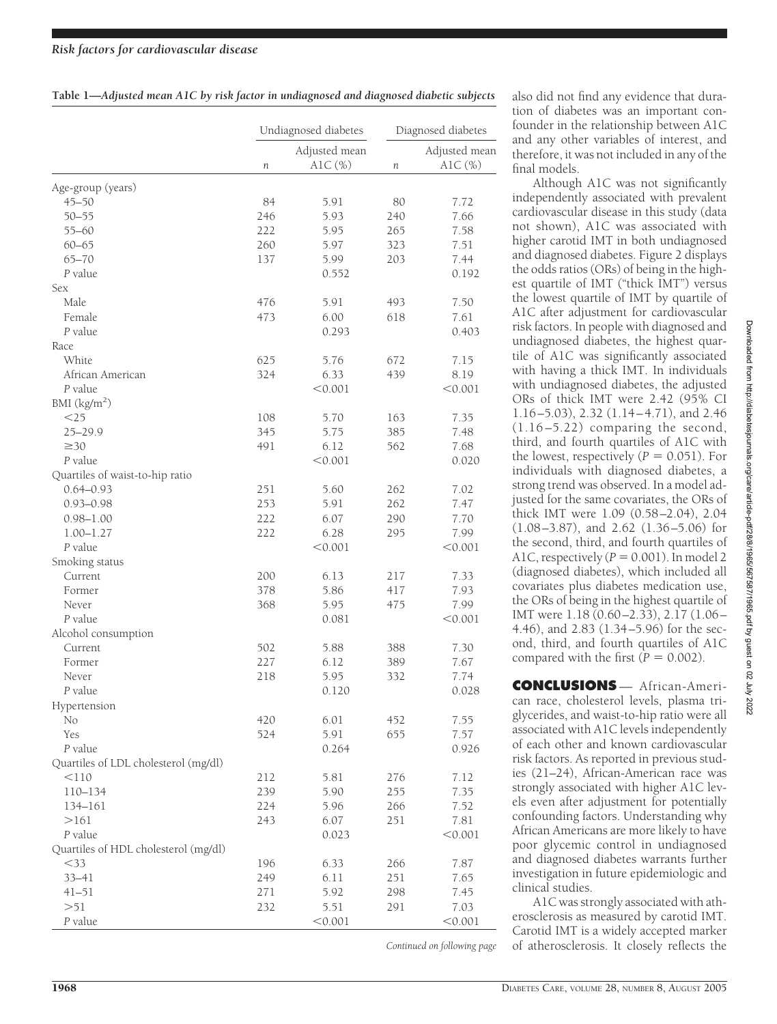### *Risk factors for cardiovascular disease*

| Table 1-Adjusted mean A1C by risk factor in undiagnosed and diagnosed diabetic subjects |  |  |  |
|-----------------------------------------------------------------------------------------|--|--|--|
|                                                                                         |  |  |  |

| Adjusted mean<br>$A1C \quad (\%)$<br>AlC $(\%)$<br>n<br>п<br>Age-group (years)<br>$45 - 50$<br>84<br>5.91<br>80<br>7.72<br>$50 - 55$<br>246<br>240<br>5.93<br>7.66<br>$55 - 60$<br>222<br>265<br>7.58<br>5.95<br>$60 - 65$<br>260<br>5.97<br>323<br>7.51<br>$65 - 70$<br>137<br>5.99<br>203<br>7.44<br>P value<br>0.552<br>0.192<br>Sex<br>Male<br>476<br>5.91<br>493<br>7.50<br>473<br>618<br>Female<br>6.00<br>7.61<br>P value<br>0.293<br>0.403<br>Race<br>White<br>625<br>5.76<br>672<br>7.15<br>African American<br>324<br>6.33<br>439<br>8.19<br>P value<br>< 0.001<br>< 0.001<br>BMI $(kg/m^2)$<br>$<$ 25<br>108<br>5.70<br>163<br>7.35<br>$25 - 29.9$<br>345<br>5.75<br>385<br>7.48<br>$\geq 30$<br>491<br>6.12<br>562<br>7.68<br>P value<br>< 0.001<br>0.020<br>Quartiles of waist-to-hip ratio<br>$0.64 - 0.93$<br>251<br>262<br>7.02<br>5.60<br>$0.93 - 0.98$<br>253<br>262<br>5.91<br>7.47<br>222<br>290<br>7.70<br>$0.98 - 1.00$<br>6.07<br>$1.00 - 1.27$<br>222<br>6.28<br>295<br>7.99<br>$P$ value<br>< 0.001<br>< 0.001<br>Smoking status<br>Current<br>200<br>6.13<br>217<br>7.33<br>378<br>5.86<br>417<br>7.93<br>Former<br>5.95<br>7.99<br>Never<br>368<br>475<br>P value<br>< 0.001<br>0.081<br>Alcohol consumption<br>Current<br>502<br>5.88<br>388<br>7.30<br>227<br>Former<br>6.12<br>389<br>7.67<br>218<br>332<br>Never<br>5.95<br>7.74<br>P value<br>0.120<br>0.028<br>Hypertension<br>420<br>6.01<br>No<br>452<br>7.55<br>524<br>5.91<br>655<br>Yes<br>7.57<br>P value<br>0.264<br>0.926<br>Quartiles of LDL cholesterol (mg/dl)<br>212<br>5.81<br>276<br>7.12<br>$<$ 110<br>239<br>$110 - 134$<br>255<br>7.35<br>5.90<br>224<br>266<br>7.52<br>134-161<br>5.96<br>>161<br>243<br>6.07<br>251<br>7.81<br>0.023<br>P value<br>< 0.001<br>Quartiles of HDL cholesterol (mg/dl)<br>$<$ 33<br>196<br>266<br>6.33<br>7.87 |  | Undiagnosed diabetes | Diagnosed diabetes |               |  |
|------------------------------------------------------------------------------------------------------------------------------------------------------------------------------------------------------------------------------------------------------------------------------------------------------------------------------------------------------------------------------------------------------------------------------------------------------------------------------------------------------------------------------------------------------------------------------------------------------------------------------------------------------------------------------------------------------------------------------------------------------------------------------------------------------------------------------------------------------------------------------------------------------------------------------------------------------------------------------------------------------------------------------------------------------------------------------------------------------------------------------------------------------------------------------------------------------------------------------------------------------------------------------------------------------------------------------------------------------------------------------------------------------------------------------------------------------------------------------------------------------------------------------------------------------------------------------------------------------------------------------------------------------------------------------------------------------------------------------------------------------------------------------------------------------------------------------------------------|--|----------------------|--------------------|---------------|--|
|                                                                                                                                                                                                                                                                                                                                                                                                                                                                                                                                                                                                                                                                                                                                                                                                                                                                                                                                                                                                                                                                                                                                                                                                                                                                                                                                                                                                                                                                                                                                                                                                                                                                                                                                                                                                                                                |  |                      |                    | Adjusted mean |  |
|                                                                                                                                                                                                                                                                                                                                                                                                                                                                                                                                                                                                                                                                                                                                                                                                                                                                                                                                                                                                                                                                                                                                                                                                                                                                                                                                                                                                                                                                                                                                                                                                                                                                                                                                                                                                                                                |  |                      |                    |               |  |
|                                                                                                                                                                                                                                                                                                                                                                                                                                                                                                                                                                                                                                                                                                                                                                                                                                                                                                                                                                                                                                                                                                                                                                                                                                                                                                                                                                                                                                                                                                                                                                                                                                                                                                                                                                                                                                                |  |                      |                    |               |  |
|                                                                                                                                                                                                                                                                                                                                                                                                                                                                                                                                                                                                                                                                                                                                                                                                                                                                                                                                                                                                                                                                                                                                                                                                                                                                                                                                                                                                                                                                                                                                                                                                                                                                                                                                                                                                                                                |  |                      |                    |               |  |
|                                                                                                                                                                                                                                                                                                                                                                                                                                                                                                                                                                                                                                                                                                                                                                                                                                                                                                                                                                                                                                                                                                                                                                                                                                                                                                                                                                                                                                                                                                                                                                                                                                                                                                                                                                                                                                                |  |                      |                    |               |  |
|                                                                                                                                                                                                                                                                                                                                                                                                                                                                                                                                                                                                                                                                                                                                                                                                                                                                                                                                                                                                                                                                                                                                                                                                                                                                                                                                                                                                                                                                                                                                                                                                                                                                                                                                                                                                                                                |  |                      |                    |               |  |
|                                                                                                                                                                                                                                                                                                                                                                                                                                                                                                                                                                                                                                                                                                                                                                                                                                                                                                                                                                                                                                                                                                                                                                                                                                                                                                                                                                                                                                                                                                                                                                                                                                                                                                                                                                                                                                                |  |                      |                    |               |  |
|                                                                                                                                                                                                                                                                                                                                                                                                                                                                                                                                                                                                                                                                                                                                                                                                                                                                                                                                                                                                                                                                                                                                                                                                                                                                                                                                                                                                                                                                                                                                                                                                                                                                                                                                                                                                                                                |  |                      |                    |               |  |
|                                                                                                                                                                                                                                                                                                                                                                                                                                                                                                                                                                                                                                                                                                                                                                                                                                                                                                                                                                                                                                                                                                                                                                                                                                                                                                                                                                                                                                                                                                                                                                                                                                                                                                                                                                                                                                                |  |                      |                    |               |  |
|                                                                                                                                                                                                                                                                                                                                                                                                                                                                                                                                                                                                                                                                                                                                                                                                                                                                                                                                                                                                                                                                                                                                                                                                                                                                                                                                                                                                                                                                                                                                                                                                                                                                                                                                                                                                                                                |  |                      |                    |               |  |
|                                                                                                                                                                                                                                                                                                                                                                                                                                                                                                                                                                                                                                                                                                                                                                                                                                                                                                                                                                                                                                                                                                                                                                                                                                                                                                                                                                                                                                                                                                                                                                                                                                                                                                                                                                                                                                                |  |                      |                    |               |  |
|                                                                                                                                                                                                                                                                                                                                                                                                                                                                                                                                                                                                                                                                                                                                                                                                                                                                                                                                                                                                                                                                                                                                                                                                                                                                                                                                                                                                                                                                                                                                                                                                                                                                                                                                                                                                                                                |  |                      |                    |               |  |
|                                                                                                                                                                                                                                                                                                                                                                                                                                                                                                                                                                                                                                                                                                                                                                                                                                                                                                                                                                                                                                                                                                                                                                                                                                                                                                                                                                                                                                                                                                                                                                                                                                                                                                                                                                                                                                                |  |                      |                    |               |  |
|                                                                                                                                                                                                                                                                                                                                                                                                                                                                                                                                                                                                                                                                                                                                                                                                                                                                                                                                                                                                                                                                                                                                                                                                                                                                                                                                                                                                                                                                                                                                                                                                                                                                                                                                                                                                                                                |  |                      |                    |               |  |
|                                                                                                                                                                                                                                                                                                                                                                                                                                                                                                                                                                                                                                                                                                                                                                                                                                                                                                                                                                                                                                                                                                                                                                                                                                                                                                                                                                                                                                                                                                                                                                                                                                                                                                                                                                                                                                                |  |                      |                    |               |  |
|                                                                                                                                                                                                                                                                                                                                                                                                                                                                                                                                                                                                                                                                                                                                                                                                                                                                                                                                                                                                                                                                                                                                                                                                                                                                                                                                                                                                                                                                                                                                                                                                                                                                                                                                                                                                                                                |  |                      |                    |               |  |
|                                                                                                                                                                                                                                                                                                                                                                                                                                                                                                                                                                                                                                                                                                                                                                                                                                                                                                                                                                                                                                                                                                                                                                                                                                                                                                                                                                                                                                                                                                                                                                                                                                                                                                                                                                                                                                                |  |                      |                    |               |  |
|                                                                                                                                                                                                                                                                                                                                                                                                                                                                                                                                                                                                                                                                                                                                                                                                                                                                                                                                                                                                                                                                                                                                                                                                                                                                                                                                                                                                                                                                                                                                                                                                                                                                                                                                                                                                                                                |  |                      |                    |               |  |
|                                                                                                                                                                                                                                                                                                                                                                                                                                                                                                                                                                                                                                                                                                                                                                                                                                                                                                                                                                                                                                                                                                                                                                                                                                                                                                                                                                                                                                                                                                                                                                                                                                                                                                                                                                                                                                                |  |                      |                    |               |  |
|                                                                                                                                                                                                                                                                                                                                                                                                                                                                                                                                                                                                                                                                                                                                                                                                                                                                                                                                                                                                                                                                                                                                                                                                                                                                                                                                                                                                                                                                                                                                                                                                                                                                                                                                                                                                                                                |  |                      |                    |               |  |
|                                                                                                                                                                                                                                                                                                                                                                                                                                                                                                                                                                                                                                                                                                                                                                                                                                                                                                                                                                                                                                                                                                                                                                                                                                                                                                                                                                                                                                                                                                                                                                                                                                                                                                                                                                                                                                                |  |                      |                    |               |  |
|                                                                                                                                                                                                                                                                                                                                                                                                                                                                                                                                                                                                                                                                                                                                                                                                                                                                                                                                                                                                                                                                                                                                                                                                                                                                                                                                                                                                                                                                                                                                                                                                                                                                                                                                                                                                                                                |  |                      |                    |               |  |
|                                                                                                                                                                                                                                                                                                                                                                                                                                                                                                                                                                                                                                                                                                                                                                                                                                                                                                                                                                                                                                                                                                                                                                                                                                                                                                                                                                                                                                                                                                                                                                                                                                                                                                                                                                                                                                                |  |                      |                    |               |  |
|                                                                                                                                                                                                                                                                                                                                                                                                                                                                                                                                                                                                                                                                                                                                                                                                                                                                                                                                                                                                                                                                                                                                                                                                                                                                                                                                                                                                                                                                                                                                                                                                                                                                                                                                                                                                                                                |  |                      |                    |               |  |
|                                                                                                                                                                                                                                                                                                                                                                                                                                                                                                                                                                                                                                                                                                                                                                                                                                                                                                                                                                                                                                                                                                                                                                                                                                                                                                                                                                                                                                                                                                                                                                                                                                                                                                                                                                                                                                                |  |                      |                    |               |  |
|                                                                                                                                                                                                                                                                                                                                                                                                                                                                                                                                                                                                                                                                                                                                                                                                                                                                                                                                                                                                                                                                                                                                                                                                                                                                                                                                                                                                                                                                                                                                                                                                                                                                                                                                                                                                                                                |  |                      |                    |               |  |
|                                                                                                                                                                                                                                                                                                                                                                                                                                                                                                                                                                                                                                                                                                                                                                                                                                                                                                                                                                                                                                                                                                                                                                                                                                                                                                                                                                                                                                                                                                                                                                                                                                                                                                                                                                                                                                                |  |                      |                    |               |  |
|                                                                                                                                                                                                                                                                                                                                                                                                                                                                                                                                                                                                                                                                                                                                                                                                                                                                                                                                                                                                                                                                                                                                                                                                                                                                                                                                                                                                                                                                                                                                                                                                                                                                                                                                                                                                                                                |  |                      |                    |               |  |
|                                                                                                                                                                                                                                                                                                                                                                                                                                                                                                                                                                                                                                                                                                                                                                                                                                                                                                                                                                                                                                                                                                                                                                                                                                                                                                                                                                                                                                                                                                                                                                                                                                                                                                                                                                                                                                                |  |                      |                    |               |  |
|                                                                                                                                                                                                                                                                                                                                                                                                                                                                                                                                                                                                                                                                                                                                                                                                                                                                                                                                                                                                                                                                                                                                                                                                                                                                                                                                                                                                                                                                                                                                                                                                                                                                                                                                                                                                                                                |  |                      |                    |               |  |
|                                                                                                                                                                                                                                                                                                                                                                                                                                                                                                                                                                                                                                                                                                                                                                                                                                                                                                                                                                                                                                                                                                                                                                                                                                                                                                                                                                                                                                                                                                                                                                                                                                                                                                                                                                                                                                                |  |                      |                    |               |  |
|                                                                                                                                                                                                                                                                                                                                                                                                                                                                                                                                                                                                                                                                                                                                                                                                                                                                                                                                                                                                                                                                                                                                                                                                                                                                                                                                                                                                                                                                                                                                                                                                                                                                                                                                                                                                                                                |  |                      |                    |               |  |
|                                                                                                                                                                                                                                                                                                                                                                                                                                                                                                                                                                                                                                                                                                                                                                                                                                                                                                                                                                                                                                                                                                                                                                                                                                                                                                                                                                                                                                                                                                                                                                                                                                                                                                                                                                                                                                                |  |                      |                    |               |  |
|                                                                                                                                                                                                                                                                                                                                                                                                                                                                                                                                                                                                                                                                                                                                                                                                                                                                                                                                                                                                                                                                                                                                                                                                                                                                                                                                                                                                                                                                                                                                                                                                                                                                                                                                                                                                                                                |  |                      |                    |               |  |
|                                                                                                                                                                                                                                                                                                                                                                                                                                                                                                                                                                                                                                                                                                                                                                                                                                                                                                                                                                                                                                                                                                                                                                                                                                                                                                                                                                                                                                                                                                                                                                                                                                                                                                                                                                                                                                                |  |                      |                    |               |  |
|                                                                                                                                                                                                                                                                                                                                                                                                                                                                                                                                                                                                                                                                                                                                                                                                                                                                                                                                                                                                                                                                                                                                                                                                                                                                                                                                                                                                                                                                                                                                                                                                                                                                                                                                                                                                                                                |  |                      |                    |               |  |
|                                                                                                                                                                                                                                                                                                                                                                                                                                                                                                                                                                                                                                                                                                                                                                                                                                                                                                                                                                                                                                                                                                                                                                                                                                                                                                                                                                                                                                                                                                                                                                                                                                                                                                                                                                                                                                                |  |                      |                    |               |  |
|                                                                                                                                                                                                                                                                                                                                                                                                                                                                                                                                                                                                                                                                                                                                                                                                                                                                                                                                                                                                                                                                                                                                                                                                                                                                                                                                                                                                                                                                                                                                                                                                                                                                                                                                                                                                                                                |  |                      |                    |               |  |
|                                                                                                                                                                                                                                                                                                                                                                                                                                                                                                                                                                                                                                                                                                                                                                                                                                                                                                                                                                                                                                                                                                                                                                                                                                                                                                                                                                                                                                                                                                                                                                                                                                                                                                                                                                                                                                                |  |                      |                    |               |  |
|                                                                                                                                                                                                                                                                                                                                                                                                                                                                                                                                                                                                                                                                                                                                                                                                                                                                                                                                                                                                                                                                                                                                                                                                                                                                                                                                                                                                                                                                                                                                                                                                                                                                                                                                                                                                                                                |  |                      |                    |               |  |
|                                                                                                                                                                                                                                                                                                                                                                                                                                                                                                                                                                                                                                                                                                                                                                                                                                                                                                                                                                                                                                                                                                                                                                                                                                                                                                                                                                                                                                                                                                                                                                                                                                                                                                                                                                                                                                                |  |                      |                    |               |  |
|                                                                                                                                                                                                                                                                                                                                                                                                                                                                                                                                                                                                                                                                                                                                                                                                                                                                                                                                                                                                                                                                                                                                                                                                                                                                                                                                                                                                                                                                                                                                                                                                                                                                                                                                                                                                                                                |  |                      |                    |               |  |
|                                                                                                                                                                                                                                                                                                                                                                                                                                                                                                                                                                                                                                                                                                                                                                                                                                                                                                                                                                                                                                                                                                                                                                                                                                                                                                                                                                                                                                                                                                                                                                                                                                                                                                                                                                                                                                                |  |                      |                    |               |  |
|                                                                                                                                                                                                                                                                                                                                                                                                                                                                                                                                                                                                                                                                                                                                                                                                                                                                                                                                                                                                                                                                                                                                                                                                                                                                                                                                                                                                                                                                                                                                                                                                                                                                                                                                                                                                                                                |  |                      |                    |               |  |
|                                                                                                                                                                                                                                                                                                                                                                                                                                                                                                                                                                                                                                                                                                                                                                                                                                                                                                                                                                                                                                                                                                                                                                                                                                                                                                                                                                                                                                                                                                                                                                                                                                                                                                                                                                                                                                                |  |                      |                    |               |  |
|                                                                                                                                                                                                                                                                                                                                                                                                                                                                                                                                                                                                                                                                                                                                                                                                                                                                                                                                                                                                                                                                                                                                                                                                                                                                                                                                                                                                                                                                                                                                                                                                                                                                                                                                                                                                                                                |  |                      |                    |               |  |
|                                                                                                                                                                                                                                                                                                                                                                                                                                                                                                                                                                                                                                                                                                                                                                                                                                                                                                                                                                                                                                                                                                                                                                                                                                                                                                                                                                                                                                                                                                                                                                                                                                                                                                                                                                                                                                                |  |                      |                    |               |  |
|                                                                                                                                                                                                                                                                                                                                                                                                                                                                                                                                                                                                                                                                                                                                                                                                                                                                                                                                                                                                                                                                                                                                                                                                                                                                                                                                                                                                                                                                                                                                                                                                                                                                                                                                                                                                                                                |  |                      |                    |               |  |
|                                                                                                                                                                                                                                                                                                                                                                                                                                                                                                                                                                                                                                                                                                                                                                                                                                                                                                                                                                                                                                                                                                                                                                                                                                                                                                                                                                                                                                                                                                                                                                                                                                                                                                                                                                                                                                                |  |                      |                    |               |  |
|                                                                                                                                                                                                                                                                                                                                                                                                                                                                                                                                                                                                                                                                                                                                                                                                                                                                                                                                                                                                                                                                                                                                                                                                                                                                                                                                                                                                                                                                                                                                                                                                                                                                                                                                                                                                                                                |  |                      |                    |               |  |
| 249<br>251<br>$33 - 41$<br>6.11<br>7.65                                                                                                                                                                                                                                                                                                                                                                                                                                                                                                                                                                                                                                                                                                                                                                                                                                                                                                                                                                                                                                                                                                                                                                                                                                                                                                                                                                                                                                                                                                                                                                                                                                                                                                                                                                                                        |  |                      |                    |               |  |
| $41 - 51$<br>271<br>298<br>5.92<br>7.45                                                                                                                                                                                                                                                                                                                                                                                                                                                                                                                                                                                                                                                                                                                                                                                                                                                                                                                                                                                                                                                                                                                                                                                                                                                                                                                                                                                                                                                                                                                                                                                                                                                                                                                                                                                                        |  |                      |                    |               |  |
| >51<br>232<br>291<br>7.03<br>5.51                                                                                                                                                                                                                                                                                                                                                                                                                                                                                                                                                                                                                                                                                                                                                                                                                                                                                                                                                                                                                                                                                                                                                                                                                                                                                                                                                                                                                                                                                                                                                                                                                                                                                                                                                                                                              |  |                      |                    |               |  |
| P value<br>< 0.001<br>< 0.001                                                                                                                                                                                                                                                                                                                                                                                                                                                                                                                                                                                                                                                                                                                                                                                                                                                                                                                                                                                                                                                                                                                                                                                                                                                                                                                                                                                                                                                                                                                                                                                                                                                                                                                                                                                                                  |  |                      |                    |               |  |

also did not find any evidence that duration of diabetes was an important confounder in the relationship between A1C and any other variables of interest, and therefore, it was not included in any of the final models.

Although A1C was not significantly independently associated with prevalent cardiovascular disease in this study (data not shown), A1C was associated with higher carotid IMT in both undiagnosed and diagnosed diabetes. Figure 2 displays the odds ratios (ORs) of being in the highest quartile of IMT ("thick IMT") versus the lowest quartile of IMT by quartile of A1C after adjustment for cardiovascular risk factors. In people with diagnosed and undiagnosed diabetes, the highest quartile of A1C was significantly associated with having a thick IMT. In individuals with undiagnosed diabetes, the adjusted ORs of thick IMT were 2.42 (95% CI 1.16–5.03), 2.32 (1.14–4.71), and 2.46 (1.16–5.22) comparing the second, third, and fourth quartiles of A1C with the lowest, respectively  $(P = 0.051)$ . For individuals with diagnosed diabetes, a strong trend was observed. In a model adjusted for the same covariates, the ORs of thick IMT were 1.09 (0.58–2.04), 2.04 (1.08–3.87), and 2.62 (1.36–5.06) for the second, third, and fourth quartiles of A1C, respectively  $(P = 0.001)$ . In model 2 (diagnosed diabetes), which included all covariates plus diabetes medication use, the ORs of being in the highest quartile of IMT were 1.18 (0.60–2.33), 2.17 (1.06– 4.46), and 2.83 (1.34–5.96) for the second, third, and fourth quartiles of A1C compared with the first  $(P = 0.002)$ .

**CONCLUSIONS** — African-American race, cholesterol levels, plasma triglycerides, and waist-to-hip ratio were all associated with A1C levels independently of each other and known cardiovascular risk factors. As reported in previous studies (21–24), African-American race was strongly associated with higher A1C levels even after adjustment for potentially confounding factors. Understanding why African Americans are more likely to have poor glycemic control in undiagnosed and diagnosed diabetes warrants further investigation in future epidemiologic and clinical studies.

A1C was strongly associated with atherosclerosis as measured by carotid IMT. Carotid IMT is a widely accepted marker of atherosclerosis. It closely reflects the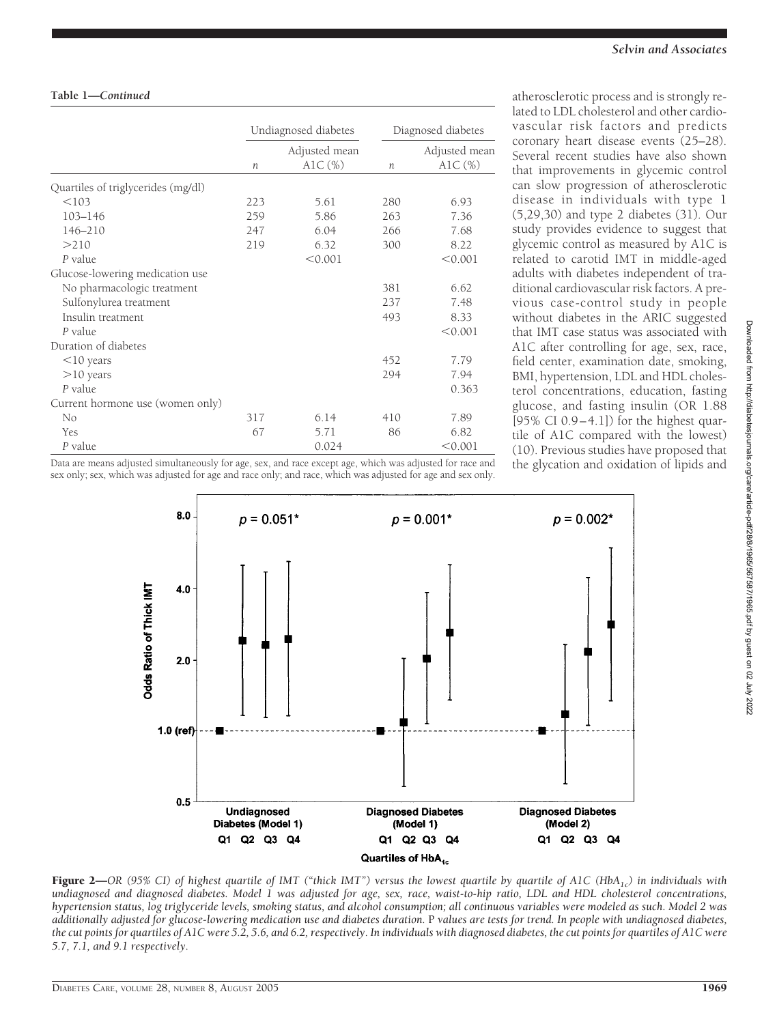#### **Table 1—***Continued*

|                                    |                  | Undiagnosed diabetes        | Diagnosed diabetes |                            |  |
|------------------------------------|------------------|-----------------------------|--------------------|----------------------------|--|
|                                    | $\boldsymbol{n}$ | Adjusted mean<br>AlC $(\%)$ | n                  | Adjusted mean<br>$AIC(\%)$ |  |
| Quartiles of triglycerides (mg/dl) |                  |                             |                    |                            |  |
| < 103                              | 223              | 5.61                        | 280                | 6.93                       |  |
| $103 - 146$                        | 259              | 5.86                        | 263                | 7.36                       |  |
| 146-210                            | 247              | 6.04                        | 266                | 7.68                       |  |
| >210                               | 219              | 6.32                        | 300                | 8.22                       |  |
| P value                            |                  | < 0.001                     |                    | < 0.001                    |  |
| Glucose-lowering medication use    |                  |                             |                    |                            |  |
| No pharmacologic treatment         |                  |                             | 381                | 6.62                       |  |
| Sulfonylurea treatment             |                  |                             | 237                | 7.48                       |  |
| Insulin treatment                  |                  |                             | 493                | 8.33                       |  |
| P value                            |                  |                             |                    | < 0.001                    |  |
| Duration of diabetes               |                  |                             |                    |                            |  |
| $<$ 10 years                       |                  |                             | 452                | 7.79                       |  |
| $>10$ years                        |                  |                             | 294                | 7.94                       |  |
| P value                            |                  |                             |                    | 0.363                      |  |
| Current hormone use (women only)   |                  |                             |                    |                            |  |
| No                                 | 317              | 6.14                        | 410                | 7.89                       |  |
| Yes                                | 67               | 5.71                        | 86                 | 6.82                       |  |
| P value                            |                  | 0.024                       |                    | < 0.001                    |  |

Data are means adjusted simultaneously for age, sex, and race except age, which was adjusted for race and sex only; sex, which was adjusted for age and race only; and race, which was adjusted for age and sex only. atherosclerotic process and is strongly related to LDL cholesterol and other cardiovascular risk factors and predicts coronary heart disease events (25–28). Several recent studies have also shown that improvements in glycemic control can slow progression of atherosclerotic disease in individuals with type 1 (5,29,30) and type 2 diabetes (31). Our study provides evidence to suggest that glycemic control as measured by A1C is related to carotid IMT in middle-aged adults with diabetes independent of traditional cardiovascular risk factors. A previous case-control study in people without diabetes in the ARIC suggested that IMT case status was associated with A1C after controlling for age, sex, race, field center, examination date, smoking, BMI, hypertension, LDL and HDL cholesterol concentrations, education, fasting glucose, and fasting insulin (OR 1.88  $[95\% \text{ CI } 0.9-4.1]$ ) for the highest quartile of A1C compared with the lowest) (10). Previous studies have proposed that the glycation and oxidation of lipids and



*additionally adjusted for glucose-lowering medication use and diabetes duration.* P *values are tests for trend. In people with undiagnosed diabetes, the cut points for quartiles of A1C were 5.2, 5.6, and 6.2, respectively. In individuals with diagnosed diabetes, the cut points for quartiles of A1C were* Downloaded from http://diabetesjournals.org/care/article-pdf/28/8/1965/567587/1965.pdf by guest on 02 July 2022

*5.7, 7.1, and 9.1 respectively.*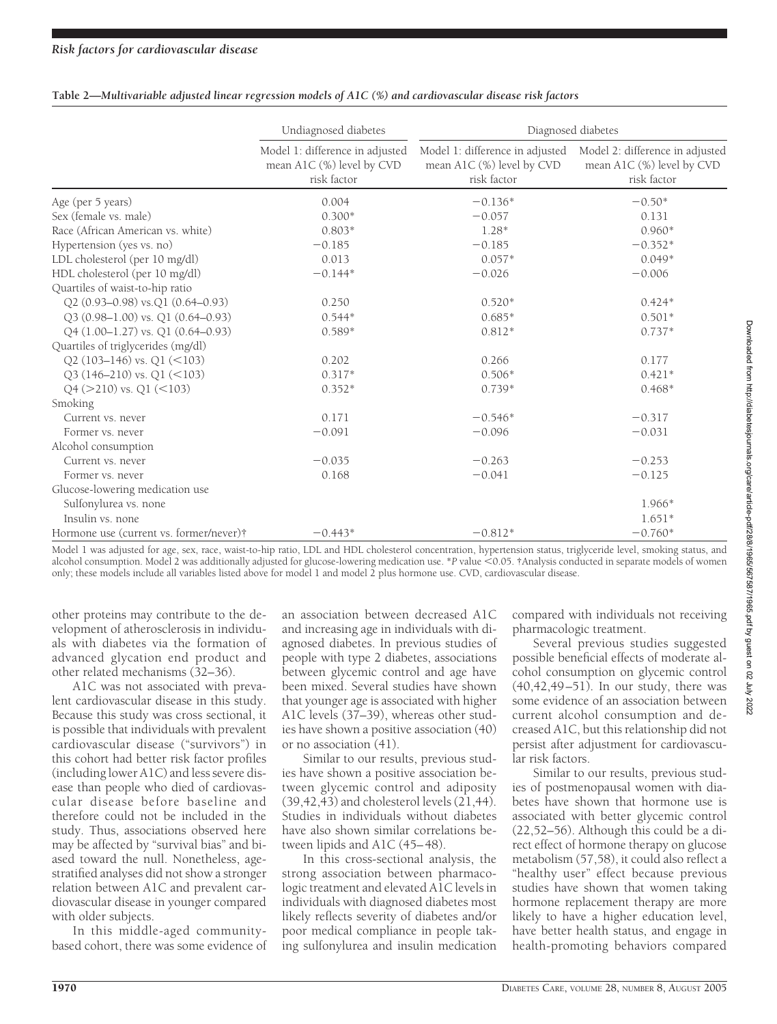|                                         | Undiagnosed diabetes                                                        | Diagnosed diabetes |                                                                             |  |  |  |
|-----------------------------------------|-----------------------------------------------------------------------------|--------------------|-----------------------------------------------------------------------------|--|--|--|
|                                         | Model 1: difference in adjusted<br>mean A1C (%) level by CVD<br>risk factor |                    | Model 2: difference in adjusted<br>mean A1C (%) level by CVD<br>risk factor |  |  |  |
| Age (per 5 years)                       | 0.004                                                                       | $-0.136*$          | $-0.50*$                                                                    |  |  |  |
| Sex (female vs. male)                   | $0.300*$                                                                    | $-0.057$           | 0.131                                                                       |  |  |  |
| Race (African American vs. white)       | $0.803*$                                                                    | $1.28*$            | $0.960*$                                                                    |  |  |  |
| Hypertension (yes vs. no)               | $-0.185$                                                                    | $-0.185$           | $-0.352*$                                                                   |  |  |  |
| LDL cholesterol (per 10 mg/dl)          | 0.013                                                                       | $0.057*$           | $0.049*$                                                                    |  |  |  |
| HDL cholesterol (per 10 mg/dl)          | $-0.144*$                                                                   | $-0.026$           | $-0.006$                                                                    |  |  |  |
| Quartiles of waist-to-hip ratio         |                                                                             |                    |                                                                             |  |  |  |
| Q2 (0.93-0.98) vs.Q1 (0.64-0.93)        | 0.250                                                                       | $0.520*$           | $0.424*$                                                                    |  |  |  |
| Q3 (0.98-1.00) vs. Q1 (0.64-0.93)       | $0.544*$                                                                    | $0.685*$           | $0.501*$                                                                    |  |  |  |
| Q4 (1.00-1.27) vs. Q1 (0.64-0.93)       | $0.589*$                                                                    | $0.812*$           | $0.737*$                                                                    |  |  |  |
| Quartiles of triglycerides (mg/dl)      |                                                                             |                    |                                                                             |  |  |  |
| Q2 (103-146) vs. Q1 (<103)              | 0.202                                                                       | 0.266              | 0.177                                                                       |  |  |  |
| $Q3(146-210)$ vs. $Q1(<103)$            | $0.317*$                                                                    | $0.506*$           | $0.421*$                                                                    |  |  |  |
| Q4 (>210) vs. Q1 (<103)                 | $0.352*$                                                                    | $0.739*$           | $0.468*$                                                                    |  |  |  |
| Smoking                                 |                                                                             |                    |                                                                             |  |  |  |
| Current vs. never                       | 0.171                                                                       | $-0.546*$          | $-0.317$                                                                    |  |  |  |
| Former vs. never                        | $-0.091$                                                                    | $-0.096$           | $-0.031$                                                                    |  |  |  |
| Alcohol consumption                     |                                                                             |                    |                                                                             |  |  |  |
| Current vs. never                       | $-0.035$                                                                    | $-0.263$           | $-0.253$                                                                    |  |  |  |
| Former vs. never                        | 0.168                                                                       | $-0.041$           | $-0.125$                                                                    |  |  |  |
| Glucose-lowering medication use         |                                                                             |                    |                                                                             |  |  |  |
| Sulfonylurea vs. none                   |                                                                             |                    | 1.966*                                                                      |  |  |  |
| Insulin vs. none                        |                                                                             |                    | $1.651*$                                                                    |  |  |  |
| Hormone use (current vs. former/never)† | $-0.443*$                                                                   | $-0.812*$          | $-0.760*$                                                                   |  |  |  |

| Table 2—Multivariable adjusted linear regression models of A1C (%) and cardiovascular disease risk factors |  |  |  |  |  |
|------------------------------------------------------------------------------------------------------------|--|--|--|--|--|
|                                                                                                            |  |  |  |  |  |

Model 1 was adjusted for age, sex, race, waist-to-hip ratio, LDL and HDL cholesterol concentration, hypertension status, triglyceride level, smoking status, and alcohol consumption. Model 2 was additionally adjusted for glucose-lowering medication use. \*P value <0.05. †Analysis conducted in separate models of women only; these models include all variables listed above for model 1 and model 2 plus hormone use. CVD, cardiovascular disease.

other proteins may contribute to the development of atherosclerosis in individuals with diabetes via the formation of advanced glycation end product and other related mechanisms (32–36).

A1C was not associated with prevalent cardiovascular disease in this study. Because this study was cross sectional, it is possible that individuals with prevalent cardiovascular disease ("survivors") in this cohort had better risk factor profiles (including lower A1C) and less severe disease than people who died of cardiovascular disease before baseline and therefore could not be included in the study. Thus, associations observed here may be affected by "survival bias" and biased toward the null. Nonetheless, agestratified analyses did not show a stronger relation between A1C and prevalent cardiovascular disease in younger compared with older subjects.

In this middle-aged communitybased cohort, there was some evidence of

an association between decreased A1C and increasing age in individuals with diagnosed diabetes. In previous studies of people with type 2 diabetes, associations between glycemic control and age have been mixed. Several studies have shown that younger age is associated with higher A1C levels (37–39), whereas other studies have shown a positive association (40) or no association (41).

Similar to our results, previous studies have shown a positive association between glycemic control and adiposity  $(39, 42, 43)$  and cholesterol levels  $(21, 44)$ . Studies in individuals without diabetes have also shown similar correlations between lipids and A1C (45–48).

In this cross-sectional analysis, the strong association between pharmacologic treatment and elevated A1C levels in individuals with diagnosed diabetes most likely reflects severity of diabetes and/or poor medical compliance in people taking sulfonylurea and insulin medication compared with individuals not receiving pharmacologic treatment.

Several previous studies suggested possible beneficial effects of moderate alcohol consumption on glycemic control (40,42,49–51). In our study, there was some evidence of an association between current alcohol consumption and decreased A1C, but this relationship did not persist after adjustment for cardiovascular risk factors.

Similar to our results, previous studies of postmenopausal women with diabetes have shown that hormone use is associated with better glycemic control (22,52–56). Although this could be a direct effect of hormone therapy on glucose metabolism (57,58), it could also reflect a "healthy user" effect because previous studies have shown that women taking hormone replacement therapy are more likely to have a higher education level, have better health status, and engage in health-promoting behaviors compared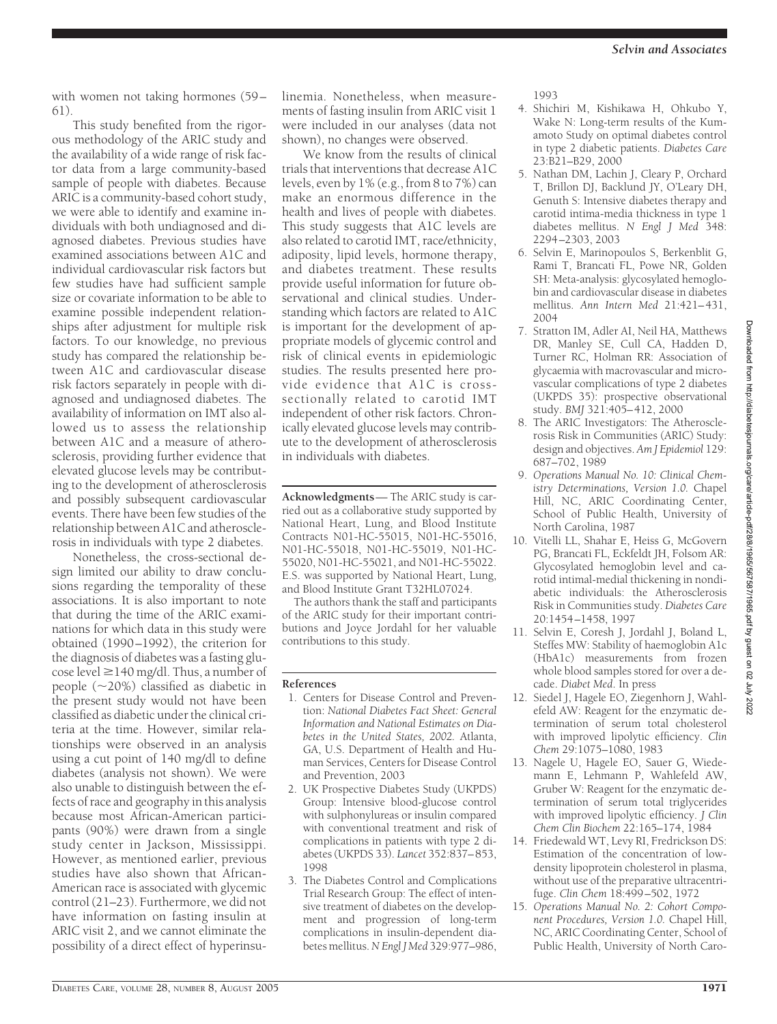with women not taking hormones (59–

61). This study benefited from the rigorous methodology of the ARIC study and the availability of a wide range of risk factor data from a large community-based sample of people with diabetes. Because ARIC is a community-based cohort study, we were able to identify and examine individuals with both undiagnosed and diagnosed diabetes. Previous studies have examined associations between A1C and individual cardiovascular risk factors but few studies have had sufficient sample size or covariate information to be able to examine possible independent relationships after adjustment for multiple risk factors. To our knowledge, no previous study has compared the relationship between A1C and cardiovascular disease risk factors separately in people with diagnosed and undiagnosed diabetes. The availability of information on IMT also allowed us to assess the relationship between A1C and a measure of atherosclerosis, providing further evidence that elevated glucose levels may be contributing to the development of atherosclerosis and possibly subsequent cardiovascular events. There have been few studies of the relationship between A1C and atherosclerosis in individuals with type 2 diabetes.

Nonetheless, the cross-sectional design limited our ability to draw conclusions regarding the temporality of these associations. It is also important to note that during the time of the ARIC examinations for which data in this study were obtained (1990–1992), the criterion for the diagnosis of diabetes was a fasting glucose level  $\geq$  140 mg/dl. Thus, a number of people  $(\sim 20\%)$  classified as diabetic in the present study would not have been classified as diabetic under the clinical criteria at the time. However, similar relationships were observed in an analysis using a cut point of 140 mg/dl to define diabetes (analysis not shown). We were also unable to distinguish between the effects of race and geography in this analysis because most African-American participants (90%) were drawn from a single study center in Jackson, Mississippi. However, as mentioned earlier, previous studies have also shown that African-American race is associated with glycemic control (21–23). Furthermore, we did not have information on fasting insulin at ARIC visit 2, and we cannot eliminate the possibility of a direct effect of hyperinsulinemia. Nonetheless, when measurements of fasting insulin from ARIC visit 1 were included in our analyses (data not shown), no changes were observed.

We know from the results of clinical trials that interventions that decrease A1C levels, even by 1% (e.g., from 8 to 7%) can make an enormous difference in the health and lives of people with diabetes. This study suggests that A1C levels are also related to carotid IMT, race/ethnicity, adiposity, lipid levels, hormone therapy, and diabetes treatment. These results provide useful information for future observational and clinical studies. Understanding which factors are related to A1C is important for the development of appropriate models of glycemic control and risk of clinical events in epidemiologic studies. The results presented here provide evidence that A1C is crosssectionally related to carotid IMT independent of other risk factors. Chronically elevated glucose levels may contribute to the development of atherosclerosis in individuals with diabetes.

**Acknowledgments**— The ARIC study is carried out as a collaborative study supported by National Heart, Lung, and Blood Institute Contracts N01-HC-55015, N01-HC-55016, N01-HC-55018, N01-HC-55019, N01-HC-55020, N01-HC-55021, and N01-HC-55022. E.S. was supported by National Heart, Lung, and Blood Institute Grant T32HL07024.

The authors thank the staff and participants of the ARIC study for their important contributions and Joyce Jordahl for her valuable contributions to this study.

#### **References**

- 1. Centers for Disease Control and Prevention: *National Diabetes Fact Sheet: General Information and National Estimates on Diabetes in the United States, 2002.* Atlanta, GA, U.S. Department of Health and Human Services, Centers for Disease Control and Prevention, 2003
- 2. UK Prospective Diabetes Study (UKPDS) Group: Intensive blood-glucose control with sulphonylureas or insulin compared with conventional treatment and risk of complications in patients with type 2 diabetes (UKPDS 33). *Lancet* 352:837–853, 1998
- 3. The Diabetes Control and Complications Trial Research Group: The effect of intensive treatment of diabetes on the development and progression of long-term complications in insulin-dependent diabetes mellitus.*N Engl J Med* 329:977–986,

1993

- 4. Shichiri M, Kishikawa H, Ohkubo Y, Wake N: Long-term results of the Kumamoto Study on optimal diabetes control in type 2 diabetic patients. *Diabetes Care* 23:B21–B29, 2000
- 5. Nathan DM, Lachin J, Cleary P, Orchard T, Brillon DJ, Backlund JY, O'Leary DH, Genuth S: Intensive diabetes therapy and carotid intima-media thickness in type 1 diabetes mellitus. *N Engl J Med* 348: 2294–2303, 2003
- 6. Selvin E, Marinopoulos S, Berkenblit G, Rami T, Brancati FL, Powe NR, Golden SH: Meta-analysis: glycosylated hemoglobin and cardiovascular disease in diabetes mellitus. *Ann Intern Med* 21:421–431, 2004
- 7. Stratton IM, Adler AI, Neil HA, Matthews DR, Manley SE, Cull CA, Hadden D, Turner RC, Holman RR: Association of glycaemia with macrovascular and microvascular complications of type 2 diabetes (UKPDS 35): prospective observational study. *BMJ* 321:405–412, 2000
- 8. The ARIC Investigators: The Atherosclerosis Risk in Communities (ARIC) Study: design and objectives. *Am J Epidemiol* 129: 687–702, 1989
- 9. *Operations Manual No. 10: Clinical Chemistry Determinations, Version 1.0.* Chapel Hill, NC, ARIC Coordinating Center, School of Public Health, University of North Carolina, 1987
- 10. Vitelli LL, Shahar E, Heiss G, McGovern PG, Brancati FL, Eckfeldt JH, Folsom AR: Glycosylated hemoglobin level and carotid intimal-medial thickening in nondiabetic individuals: the Atherosclerosis Risk in Communities study. *Diabetes Care* 20:1454–1458, 1997
- 11. Selvin E, Coresh J, Jordahl J, Boland L, Steffes MW: Stability of haemoglobin A1c (HbA1c) measurements from frozen whole blood samples stored for over a decade. *Diabet Med*. In press
- 12. Siedel J, Hagele EO, Ziegenhorn J, Wahlefeld AW: Reagent for the enzymatic determination of serum total cholesterol with improved lipolytic efficiency. *Clin Chem* 29:1075–1080, 1983
- 13. Nagele U, Hagele EO, Sauer G, Wiedemann E, Lehmann P, Wahlefeld AW, Gruber W: Reagent for the enzymatic determination of serum total triglycerides with improved lipolytic efficiency. *J Clin Chem Clin Biochem* 22:165–174, 1984
- 14. Friedewald WT, Levy RI, Fredrickson DS: Estimation of the concentration of lowdensity lipoprotein cholesterol in plasma, without use of the preparative ultracentrifuge. *Clin Chem* 18:499–502, 1972
- 15. *Operations Manual No. 2: Cohort Component Procedures, Version 1.0.* Chapel Hill, NC, ARIC Coordinating Center, School of Public Health, University of North Caro-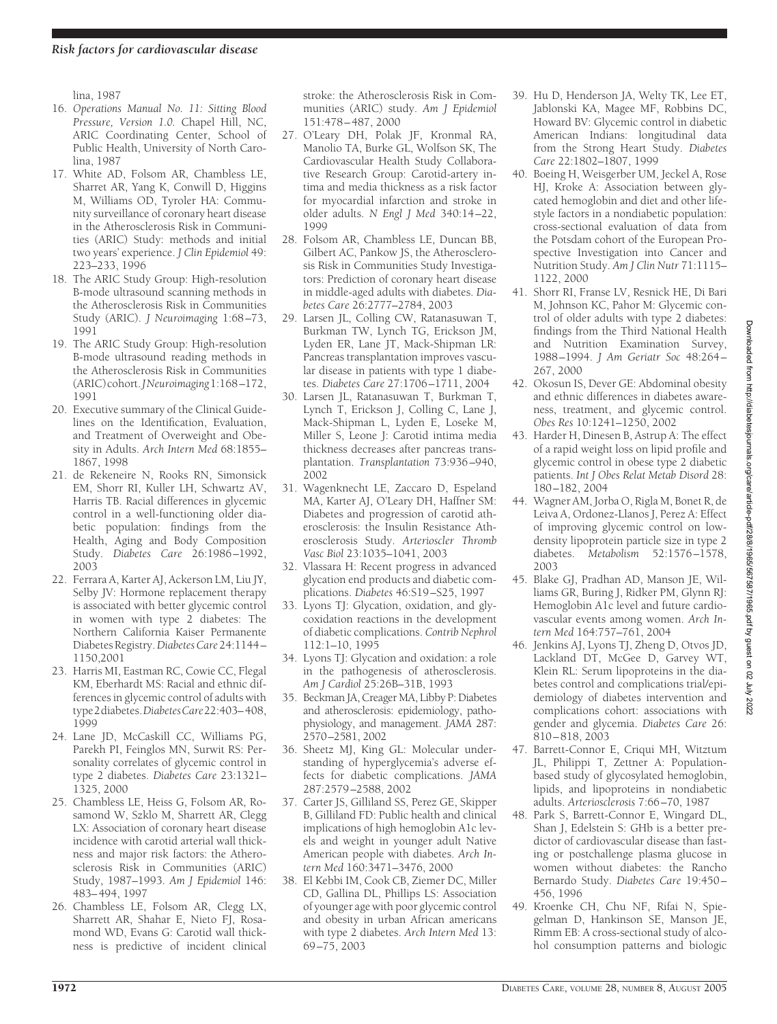lina, 1987

- 16. *Operations Manual No. 11: Sitting Blood Pressure, Version 1.0.* Chapel Hill, NC, ARIC Coordinating Center, School of Public Health, University of North Carolina, 1987
- 17. White AD, Folsom AR, Chambless LE, Sharret AR, Yang K, Conwill D, Higgins M, Williams OD, Tyroler HA: Community surveillance of coronary heart disease in the Atherosclerosis Risk in Communities (ARIC) Study: methods and initial two years' experience. *J Clin Epidemiol* 49: 223–233, 1996
- 18. The ARIC Study Group: High-resolution B-mode ultrasound scanning methods in the Atherosclerosis Risk in Communities Study (ARIC). *J Neuroimaging* 1:68–73, 1991
- 19. The ARIC Study Group: High-resolution B-mode ultrasound reading methods in the Atherosclerosis Risk in Communities (ARIC)cohort.*JNeuroimaging*1:168–172, 1991
- 20. Executive summary of the Clinical Guidelines on the Identification, Evaluation, and Treatment of Overweight and Obesity in Adults. *Arch Intern Med* 68:1855– 1867, 1998
- 21. de Rekeneire N, Rooks RN, Simonsick EM, Shorr RI, Kuller LH, Schwartz AV, Harris TB. Racial differences in glycemic control in a well-functioning older diabetic population: findings from the Health, Aging and Body Composition Study. *Diabetes Care* 26:1986–1992, 2003
- 22. Ferrara A, Karter AJ, Ackerson LM, Liu JY, Selby JV: Hormone replacement therapy is associated with better glycemic control in women with type 2 diabetes: The Northern California Kaiser Permanente DiabetesRegistry.*Diabetes Care*24:1144– 1150,2001
- 23. Harris MI, Eastman RC, Cowie CC, Flegal KM, Eberhardt MS: Racial and ethnic differences in glycemic control of adults with type2diabetes.*DiabetesCare*22:403–408, 1999
- 24. Lane JD, McCaskill CC, Williams PG, Parekh PI, Feinglos MN, Surwit RS: Personality correlates of glycemic control in type 2 diabetes. *Diabetes Care* 23:1321– 1325, 2000
- 25. Chambless LE, Heiss G, Folsom AR, Rosamond W, Szklo M, Sharrett AR, Clegg LX: Association of coronary heart disease incidence with carotid arterial wall thickness and major risk factors: the Atherosclerosis Risk in Communities (ARIC) Study, 1987–1993. *Am J Epidemiol* 146: 483–494, 1997
- 26. Chambless LE, Folsom AR, Clegg LX, Sharrett AR, Shahar E, Nieto FJ, Rosamond WD, Evans G: Carotid wall thickness is predictive of incident clinical

stroke: the Atherosclerosis Risk in Communities (ARIC) study. *Am J Epidemiol* 151:478–487, 2000

- 27. O'Leary DH, Polak JF, Kronmal RA, Manolio TA, Burke GL, Wolfson SK, The Cardiovascular Health Study Collaborative Research Group: Carotid-artery intima and media thickness as a risk factor for myocardial infarction and stroke in older adults. *N Engl J Med* 340:14–22, 1999
- 28. Folsom AR, Chambless LE, Duncan BB, Gilbert AC, Pankow JS, the Atherosclerosis Risk in Communities Study Investigators: Prediction of coronary heart disease in middle-aged adults with diabetes. *Diabetes Care* 26:2777–2784, 2003
- 29. Larsen JL, Colling CW, Ratanasuwan T, Burkman TW, Lynch TG, Erickson JM, Lyden ER, Lane JT, Mack-Shipman LR: Pancreas transplantation improves vascular disease in patients with type 1 diabetes. *Diabetes Care* 27:1706–1711, 2004
- 30. Larsen JL, Ratanasuwan T, Burkman T, Lynch T, Erickson J, Colling C, Lane J, Mack-Shipman L, Lyden E, Loseke M, Miller S, Leone J: Carotid intima media thickness decreases after pancreas transplantation. *Transplantation* 73:936–940, 2002
- 31. Wagenknecht LE, Zaccaro D, Espeland MA, Karter AJ, O'Leary DH, Haffner SM: Diabetes and progression of carotid atherosclerosis: the Insulin Resistance Atherosclerosis Study. *Arterioscler Thromb Vasc Biol* 23:1035–1041, 2003
- 32. Vlassara H: Recent progress in advanced glycation end products and diabetic complications. *Diabetes* 46:S19–S25, 1997
- 33. Lyons TJ: Glycation, oxidation, and glycoxidation reactions in the development of diabetic complications. *Contrib Nephrol* 112:1–10, 1995
- 34. Lyons TJ: Glycation and oxidation: a role in the pathogenesis of atherosclerosis. *Am J Cardiol* 25:26B–31B, 1993
- 35. Beckman JA, Creager MA, Libby P: Diabetes and atherosclerosis: epidemiology, pathophysiology, and management. *JAMA* 287: 2570–2581, 2002
- 36. Sheetz MJ, King GL: Molecular understanding of hyperglycemia's adverse effects for diabetic complications. *JAMA* 287:2579–2588, 2002
- 37. Carter JS, Gilliland SS, Perez GE, Skipper B, Gilliland FD: Public health and clinical implications of high hemoglobin A1c levels and weight in younger adult Native American people with diabetes. *Arch Intern Med* 160:3471–3476, 2000
- 38. El Kebbi IM, Cook CB, Ziemer DC, Miller CD, Gallina DL, Phillips LS: Association of younger age with poor glycemic control and obesity in urban African americans with type 2 diabetes. *Arch Intern Med* 13: 69–75, 2003
- 39. Hu D, Henderson JA, Welty TK, Lee ET, Jablonski KA, Magee MF, Robbins DC, Howard BV: Glycemic control in diabetic American Indians: longitudinal data from the Strong Heart Study. *Diabetes Care* 22:1802–1807, 1999
- 40. Boeing H, Weisgerber UM, Jeckel A, Rose HJ, Kroke A: Association between glycated hemoglobin and diet and other lifestyle factors in a nondiabetic population: cross-sectional evaluation of data from the Potsdam cohort of the European Prospective Investigation into Cancer and Nutrition Study. *Am J Clin Nutr* 71:1115– 1122, 2000
- 41. Shorr RI, Franse LV, Resnick HE, Di Bari M, Johnson KC, Pahor M: Glycemic control of older adults with type 2 diabetes: findings from the Third National Health and Nutrition Examination Survey, 1988–1994. *J Am Geriatr Soc* 48:264– 267, 2000
- 42. Okosun IS, Dever GE: Abdominal obesity and ethnic differences in diabetes awareness, treatment, and glycemic control. *Obes Res* 10:1241–1250, 2002
- 43. Harder H, Dinesen B, Astrup A: The effect of a rapid weight loss on lipid profile and glycemic control in obese type 2 diabetic patients. *Int J Obes Relat Metab Disord* 28: 180–182, 2004
- 44. Wagner AM, Jorba O, Rigla M, Bonet R, de Leiva A, Ordonez-Llanos J, Perez A: Effect of improving glycemic control on lowdensity lipoprotein particle size in type 2 diabetes. *Metabolism* 52:1576–1578, 2003
- 45. Blake GJ, Pradhan AD, Manson JE, Williams GR, Buring J, Ridker PM, Glynn RJ: Hemoglobin A1c level and future cardiovascular events among women. *Arch Intern Med* 164:757–761, 2004
- 46. Jenkins AJ, Lyons TJ, Zheng D, Otvos JD, Lackland DT, McGee D, Garvey WT, Klein RL: Serum lipoproteins in the diabetes control and complications trial/epidemiology of diabetes intervention and complications cohort: associations with gender and glycemia. *Diabetes Care* 26: 810–818, 2003
- 47. Barrett-Connor E, Criqui MH, Witztum JL, Philippi T, Zettner A: Populationbased study of glycosylated hemoglobin, lipids, and lipoproteins in nondiabetic adults. *Arteriosclerosis* 7:66–70, 1987
- 48. Park S, Barrett-Connor E, Wingard DL, Shan J, Edelstein S: GHb is a better predictor of cardiovascular disease than fasting or postchallenge plasma glucose in women without diabetes: the Rancho Bernardo Study. *Diabetes Care* 19:450– 456, 1996
- 49. Kroenke CH, Chu NF, Rifai N, Spiegelman D, Hankinson SE, Manson JE, Rimm EB: A cross-sectional study of alcohol consumption patterns and biologic